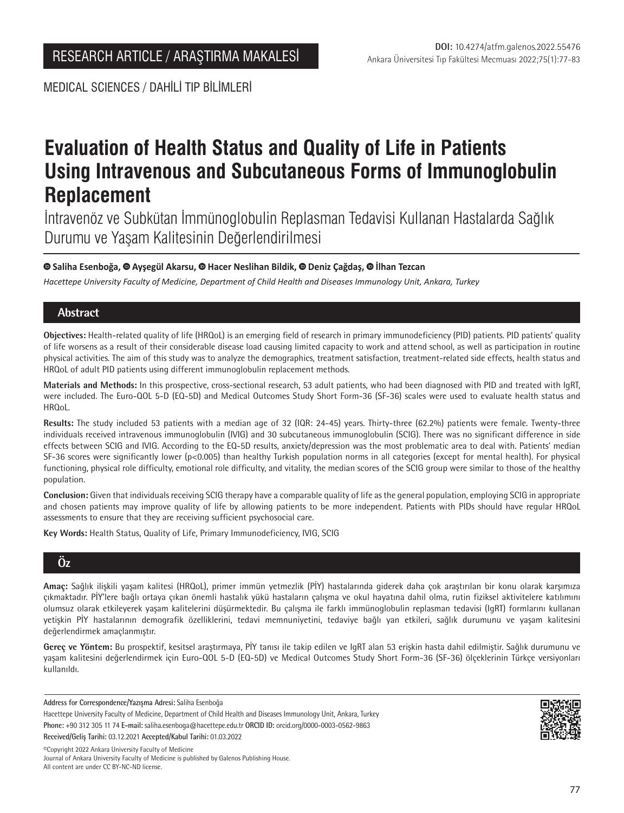MEDICAL SCIENCES / DAHİLİ TIP BİLİMLERİ

# **Evaluation of Health Status and Quality of Life in Patients Using Intravenous and Subcutaneous Forms of Immunoglobulin Replacement**

İntravenöz ve Subkütan İmmünoglobulin Replasman Tedavisi Kullanan Hastalarda Sağlık Durumu ve Yaşam Kalitesinin Değerlendirilmesi

# **Saliha Esenboğa,Ayşegül Akarsu,Hacer Neslihan Bildik, Deniz Çağdaş,İlhan Tezcan**

*Hacettepe University Faculty of Medicine, Department of Child Health and Diseases Immunology Unit, Ankara, Turkey*

# **Abstract**

**Objectives:** Health-related quality of life (HRQoL) is an emerging field of research in primary immunodeficiency (PID) patients. PID patients' quality of life worsens as a result of their considerable disease load causing limited capacity to work and attend school, as well as participation in routine physical activities. The aim of this study was to analyze the demographics, treatment satisfaction, treatment-related side effects, health status and HRQoL of adult PID patients using different immunoglobulin replacement methods.

**Materials and Methods:** In this prospective, cross-sectional research, 53 adult patients, who had been diagnosed with PID and treated with IgRT, were included. The Euro-QOL 5-D (EQ-5D) and Medical Outcomes Study Short Form-36 (SF-36) scales were used to evaluate health status and HRQoL.

**Results:** The study included 53 patients with a median age of 32 (IQR: 24-45) years. Thirty-three (62.2%) patients were female. Twenty-three individuals received intravenous immunoglobulin (IVIG) and 30 subcutaneous immunoglobulin (SCIG). There was no significant difference in side effects between SCIG and IVIG. According to the EQ-5D results, anxiety/depression was the most problematic area to deal with. Patients' median SF-36 scores were significantly lower (p<0.005) than healthy Turkish population norms in all categories (except for mental health). For physical functioning, physical role difficulty, emotional role difficulty, and vitality, the median scores of the SCIG group were similar to those of the healthy population.

**Conclusion:** Given that individuals receiving SCIG therapy have a comparable quality of life as the general population, employing SCIG in appropriate and chosen patients may improve quality of life by allowing patients to be more independent. Patients with PIDs should have regular HRQoL assessments to ensure that they are receiving sufficient psychosocial care.

**Key Words:** Health Status, Quality of Life, Primary Immunodeficiency, IVIG, SCIG

# **Öz**

**Amaç:** Sağlık ilişkili yaşam kalitesi (HRQoL), primer immün yetmezlik (PİY) hastalarında giderek daha çok araştırılan bir konu olarak karşımıza çıkmaktadır. PİY'lere bağlı ortaya çıkan önemli hastalık yükü hastaların çalışma ve okul hayatına dahil olma, rutin fiziksel aktivitelere katılımını olumsuz olarak etkileyerek yaşam kalitelerini düşürmektedir. Bu çalışma ile farklı immünoglobulin replasman tedavisi (IgRT) formlarını kullanan yetişkin PİY hastalarının demografik özelliklerini, tedavi memnuniyetini, tedaviye bağlı yan etkileri, sağlık durumunu ve yaşam kalitesini değerlendirmek amaçlanmıştır.

**Gereç ve Yöntem:** Bu prospektif, kesitsel araştırmaya, PİY tanısı ile takip edilen ve IgRT alan 53 erişkin hasta dahil edilmiştir. Sağlık durumunu ve yaşam kalitesini değerlendirmek için Euro-QOL 5-D (EQ-5D) ve Medical Outcomes Study Short Form-36 (SF-36) ölçeklerinin Türkçe versiyonları kullanıldı.

**Address for Correspondence/Yazışma Adresi:** Saliha Esenboğa

Hacettepe University Faculty of Medicine, Department of Child Health and Diseases Immunology Unit, Ankara, Turkey **Phone:** +90 312 305 11 74 **E-mail:** saliha.esenboga@hacettepe.edu.tr **ORCID ID:** orcid.org/0000-0003-0562-9863

**Received/Geliş Tarihi:** 03.12.2021 **Accepted/Kabul Tarihi:** 01.03.2022

©️Copyright 2022 Ankara University Faculty of Medicine Journal of Ankara University Faculty of Medicine is published by Galenos Publishing House. All content are under CC BY-NC-ND license.

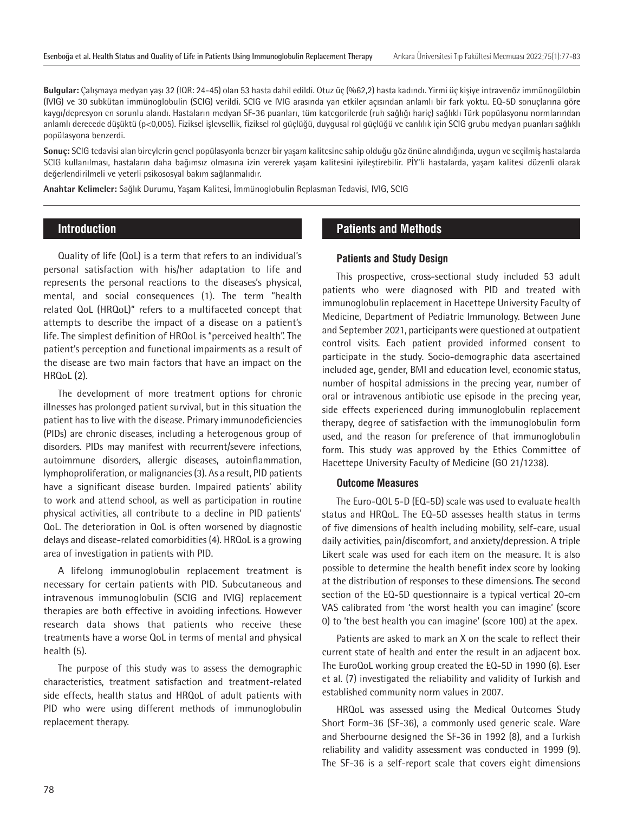**Bulgular:** Çalışmaya medyan yaşı 32 (IQR: 24-45) olan 53 hasta dahil edildi. Otuz üç (%62,2) hasta kadındı. Yirmi üç kişiye intravenöz immünogülobin (IVIG) ve 30 subkütan immünoglobulin (SCIG) verildi. SCIG ve IVIG arasında yan etkiler açısından anlamlı bir fark yoktu. EQ-5D sonuçlarına göre kaygı/depresyon en sorunlu alandı. Hastaların medyan SF-36 puanları, tüm kategorilerde (ruh sağlığı hariç) sağlıklı Türk popülasyonu normlarından anlamlı derecede düşüktü (p<0,005). Fiziksel işlevsellik, fiziksel rol güçlüğü, duygusal rol güçlüğü ve canlılık için SCIG grubu medyan puanları sağlıklı popülasyona benzerdi.

**Sonuç:** SCIG tedavisi alan bireylerin genel popülasyonla benzer bir yaşam kalitesine sahip olduğu göz önüne alındığında, uygun ve seçilmiş hastalarda SCIG kullanılması, hastaların daha bağımsız olmasına izin vererek yaşam kalitesini iyileştirebilir. PİY'li hastalarda, yaşam kalitesi düzenli olarak değerlendirilmeli ve yeterli psikososyal bakım sağlanmalıdır.

**Anahtar Kelimeler:** Sağlık Durumu, Yaşam Kalitesi, İmmünoglobulin Replasman Tedavisi, IVIG, SCIG

# **Introduction**

Quality of life (QoL) is a term that refers to an individual's personal satisfaction with his/her adaptation to life and represents the personal reactions to the diseases's physical, mental, and social consequences (1). The term "health related QoL (HRQoL)" refers to a multifaceted concept that attempts to describe the impact of a disease on a patient's life. The simplest definition of HRQoL is "perceived health". The patient's perception and functional impairments as a result of the disease are two main factors that have an impact on the HRQoL (2).

The development of more treatment options for chronic illnesses has prolonged patient survival, but in this situation the patient has to live with the disease. Primary immunodeficiencies (PIDs) are chronic diseases, including a heterogenous group of disorders. PIDs may manifest with recurrent/severe infections, autoimmune disorders, allergic diseases, autoinflammation, lymphoproliferation, or malignancies (3). As a result, PID patients have a significant disease burden. Impaired patients' ability to work and attend school, as well as participation in routine physical activities, all contribute to a decline in PID patients' QoL. The deterioration in QoL is often worsened by diagnostic delays and disease-related comorbidities (4). HRQoL is a growing area of investigation in patients with PID.

A lifelong immunoglobulin replacement treatment is necessary for certain patients with PID. Subcutaneous and intravenous immunoglobulin (SCIG and IVIG) replacement therapies are both effective in avoiding infections. However research data shows that patients who receive these treatments have a worse QoL in terms of mental and physical health (5).

The purpose of this study was to assess the demographic characteristics, treatment satisfaction and treatment-related side effects, health status and HRQoL of adult patients with PID who were using different methods of immunoglobulin replacement therapy.

# **Patients and Methods**

#### **Patients and Study Design**

This prospective, cross-sectional study included 53 adult patients who were diagnosed with PID and treated with immunoglobulin replacement in Hacettepe University Faculty of Medicine, Department of Pediatric Immunology. Between June and September 2021, participants were questioned at outpatient control visits. Each patient provided informed consent to participate in the study. Socio-demographic data ascertained included age, gender, BMI and education level, economic status, number of hospital admissions in the precing year, number of oral or intravenous antibiotic use episode in the precing year, side effects experienced during immunoglobulin replacement therapy, degree of satisfaction with the immunoglobulin form used, and the reason for preference of that immunoglobulin form. This study was approved by the Ethics Committee of Hacettepe University Faculty of Medicine (GO 21/1238).

#### **Outcome Measures**

The Euro-QOL 5-D (EQ-5D) scale was used to evaluate health status and HRQoL. The EQ-5D assesses health status in terms of five dimensions of health including mobility, self-care, usual daily activities, pain/discomfort, and anxiety/depression. A triple Likert scale was used for each item on the measure. It is also possible to determine the health benefit index score by looking at the distribution of responses to these dimensions. The second section of the EQ-5D questionnaire is a typical vertical 20-cm VAS calibrated from 'the worst health you can imagine' (score 0) to 'the best health you can imagine' (score 100) at the apex.

Patients are asked to mark an X on the scale to reflect their current state of health and enter the result in an adjacent box. The EuroQoL working group created the EQ-5D in 1990 (6). Eser et al. (7) investigated the reliability and validity of Turkish and established community norm values in 2007.

HRQoL was assessed using the Medical Outcomes Study Short Form-36 (SF-36), a commonly used generic scale. Ware and Sherbourne designed the SF-36 in 1992 (8), and a Turkish reliability and validity assessment was conducted in 1999 (9). The SF-36 is a self-report scale that covers eight dimensions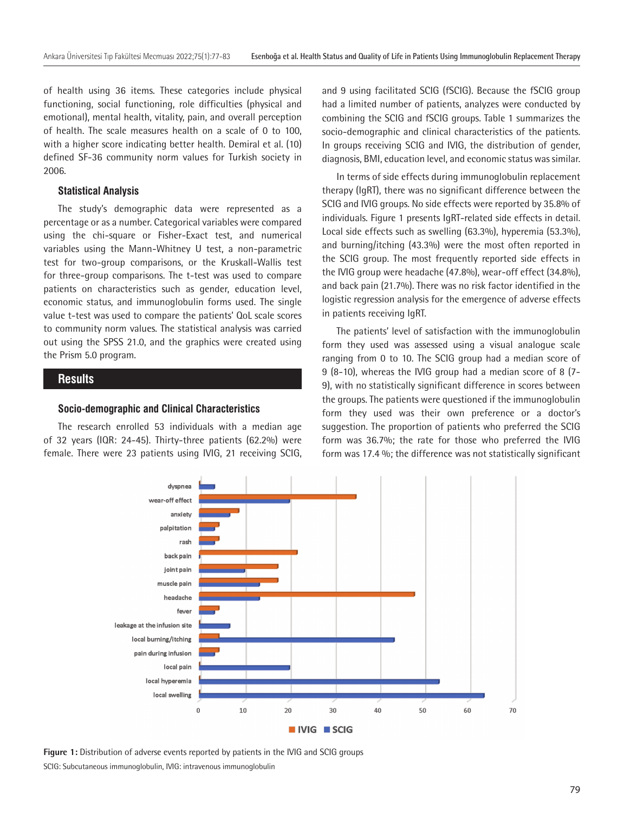of health using 36 items. These categories include physical functioning, social functioning, role difficulties (physical and emotional), mental health, vitality, pain, and overall perception of health. The scale measures health on a scale of 0 to 100, with a higher score indicating better health. Demiral et al. (10) defined SF-36 community norm values for Turkish society in 2006.

#### **Statistical Analysis**

The study's demographic data were represented as a percentage or as a number. Categorical variables were compared using the chi-square or Fisher-Exact test, and numerical variables using the Mann-Whitney U test, a non-parametric test for two-group comparisons, or the Kruskall-Wallis test for three-group comparisons. The t-test was used to compare patients on characteristics such as gender, education level, economic status, and immunoglobulin forms used. The single value t-test was used to compare the patients' QoL scale scores to community norm values. The statistical analysis was carried out using the SPSS 21.0, and the graphics were created using the Prism 5.0 program.

#### **Results**

#### **Socio-demographic and Clinical Characteristics**

The research enrolled 53 individuals with a median age of 32 years (IQR: 24-45). Thirty-three patients (62.2%) were female. There were 23 patients using IVIG, 21 receiving SCIG, and 9 using facilitated SCIG (fSCIG). Because the fSCIG group had a limited number of patients, analyzes were conducted by combining the SCIG and fSCIG groups. Table 1 summarizes the socio-demographic and clinical characteristics of the patients. In groups receiving SCIG and IVIG, the distribution of gender, diagnosis, BMI, education level, and economic status was similar.

In terms of side effects during immunoglobulin replacement therapy (IgRT), there was no significant difference between the SCIG and IVIG groups. No side effects were reported by 35.8% of individuals. Figure 1 presents IgRT-related side effects in detail. Local side effects such as swelling (63.3%), hyperemia (53.3%), and burning/itching (43.3%) were the most often reported in the SCIG group. The most frequently reported side effects in the IVIG group were headache (47.8%), wear-off effect (34.8%), and back pain (21.7%). There was no risk factor identified in the logistic regression analysis for the emergence of adverse effects in patients receiving IgRT.

The patients' level of satisfaction with the immunoglobulin form they used was assessed using a visual analogue scale ranging from 0 to 10. The SCIG group had a median score of 9 (8-10), whereas the IVIG group had a median score of 8 (7- 9), with no statistically significant difference in scores between the groups. The patients were questioned if the immunoglobulin form they used was their own preference or a doctor's suggestion. The proportion of patients who preferred the SCIG form was 36.7%; the rate for those who preferred the IVIG form was 17.4 %; the difference was not statistically significant



**Figure 1:** Distribution of adverse events reported by patients in the IVIG and SCIG groups SCIG: Subcutaneous immunoglobulin, IVIG: intravenous immunoglobulin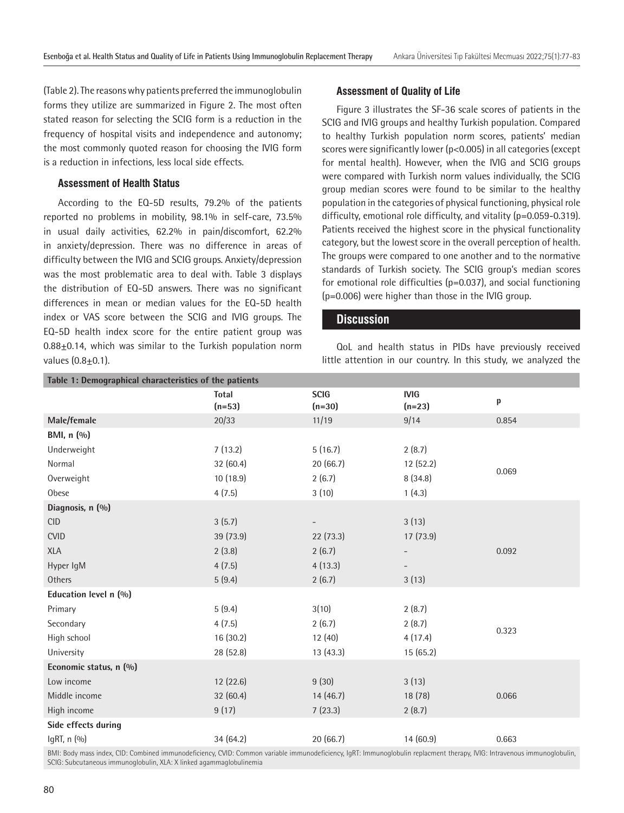(Table 2). The reasons why patients preferred the immunoglobulin forms they utilize are summarized in Figure 2. The most often stated reason for selecting the SCIG form is a reduction in the frequency of hospital visits and independence and autonomy; the most commonly quoted reason for choosing the IVIG form is a reduction in infections, less local side effects.

#### **Assessment of Health Status**

According to the EQ-5D results, 79.2% of the patients reported no problems in mobility, 98.1% in self-care, 73.5% in usual daily activities, 62.2% in pain/discomfort, 62.2% in anxiety/depression. There was no difference in areas of difficulty between the IVIG and SCIG groups. Anxiety/depression was the most problematic area to deal with. Table 3 displays the distribution of EQ-5D answers. There was no significant differences in mean or median values for the EQ-5D health index or VAS score between the SCIG and IVIG groups. The EQ-5D health index score for the entire patient group was  $0.88\pm0.14$ , which was similar to the Turkish population norm values  $(0.8 + 0.1)$ .

#### **Assessment of Quality of Life**

Figure 3 illustrates the SF-36 scale scores of patients in the SCIG and IVIG groups and healthy Turkish population. Compared to healthy Turkish population norm scores, patients' median scores were significantly lower (p<0.005) in all categories (except for mental health). However, when the IVIG and SCIG groups were compared with Turkish norm values individually, the SCIG group median scores were found to be similar to the healthy population in the categories of physical functioning, physical role difficulty, emotional role difficulty, and vitality (p=0.059-0.319). Patients received the highest score in the physical functionality category, but the lowest score in the overall perception of health. The groups were compared to one another and to the normative standards of Turkish society. The SCIG group's median scores for emotional role difficulties (p=0.037), and social functioning (p=0.006) were higher than those in the IVIG group.

#### **Discussion**

QoL and health status in PIDs have previously received little attention in our country. In this study, we analyzed the

| Table 1: Demographical characteristics of the patients                                                                                                             |                          |                         |                         |       |  |  |  |
|--------------------------------------------------------------------------------------------------------------------------------------------------------------------|--------------------------|-------------------------|-------------------------|-------|--|--|--|
|                                                                                                                                                                    | <b>Total</b><br>$(n=53)$ | <b>SCIG</b><br>$(n=30)$ | <b>IVIG</b><br>$(n=23)$ | p     |  |  |  |
| Male/female                                                                                                                                                        | 20/33                    | 11/19                   | 9/14                    | 0.854 |  |  |  |
| BMI, n (%)                                                                                                                                                         |                          |                         |                         |       |  |  |  |
| Underweight                                                                                                                                                        | 7(13.2)                  | 5(16.7)                 | 2(8.7)                  |       |  |  |  |
| Normal                                                                                                                                                             | 32 (60.4)                | 20(66.7)                | 12(52.2)                | 0.069 |  |  |  |
| Overweight                                                                                                                                                         | 10 (18.9)                | 2(6.7)                  | 8(34.8)                 |       |  |  |  |
| Obese                                                                                                                                                              | 4(7.5)                   | 3(10)                   | 1(4.3)                  |       |  |  |  |
| Diagnosis, n (%)                                                                                                                                                   |                          |                         |                         |       |  |  |  |
| <b>CID</b>                                                                                                                                                         | 3(5.7)                   |                         | 3(13)                   |       |  |  |  |
| <b>CVID</b>                                                                                                                                                        | 39 (73.9)                | 22(73.3)                | 17(73.9)                |       |  |  |  |
| <b>XLA</b>                                                                                                                                                         | 2(3.8)                   | 2(6.7)                  |                         | 0.092 |  |  |  |
| Hyper IgM                                                                                                                                                          | 4(7.5)                   | 4(13.3)                 |                         |       |  |  |  |
| Others                                                                                                                                                             | 5(9.4)                   | 2(6.7)                  | 3(13)                   |       |  |  |  |
| Education level n (%)                                                                                                                                              |                          |                         |                         |       |  |  |  |
| Primary                                                                                                                                                            | 5(9.4)                   | 3(10)                   | 2(8.7)                  |       |  |  |  |
| Secondary                                                                                                                                                          | 4(7.5)                   | 2(6.7)                  | 2(8.7)                  | 0.323 |  |  |  |
| High school                                                                                                                                                        | 16 (30.2)                | 12(40)                  | 4(17.4)                 |       |  |  |  |
| University                                                                                                                                                         | 28 (52.8)                | 13(43.3)                | 15(65.2)                |       |  |  |  |
| Economic status, n (%)                                                                                                                                             |                          |                         |                         |       |  |  |  |
| Low income                                                                                                                                                         | 12 (22.6)                | 9(30)                   | 3(13)                   |       |  |  |  |
| Middle income                                                                                                                                                      | 32 (60.4)                | 14(46.7)                | 18 (78)                 | 0.066 |  |  |  |
| High income                                                                                                                                                        | 9(17)                    | 7(23.3)                 | 2(8.7)                  |       |  |  |  |
| Side effects during                                                                                                                                                |                          |                         |                         |       |  |  |  |
| IgRT, n (%)                                                                                                                                                        | 34 (64.2)                | 20(66.7)                | 14(60.9)                | 0.663 |  |  |  |
| RML: Rody mass index CID: Combined immunodeficiency CVID: Common variable immunodeficiency JePT: Immunodebulin replacement therapy JVIG: Intravenous immunodebulin |                          |                         |                         |       |  |  |  |

BMI: Body mass index, CID: Combined immunodeficiency, CVID: Common variable immunodeficiency, IgRT: Immunoglobulin replacment therapy, IVIG: Intravenous immunoglobulin, SCIG: Subcutaneous immunoglobulin, XLA: X linked agammaglobulinemia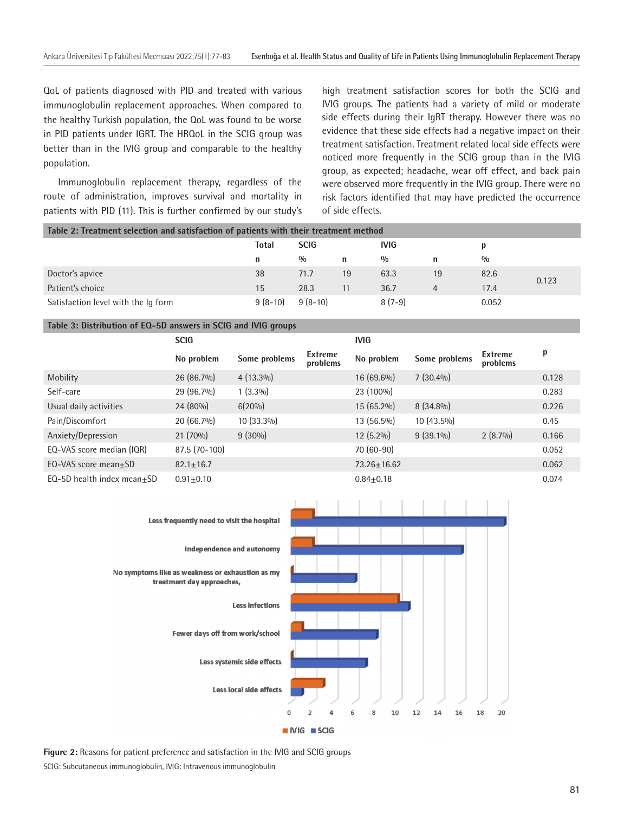QoL of patients diagnosed with PID and treated with various immunoglobulin replacement approaches. When compared to the healthy Turkish population, the QoL was found to be worse in PID patients under IGRT. The HRQoL in the SCIG group was better than in the IVIG group and comparable to the healthy population.

Immunoglobulin replacement therapy, regardless of the route of administration, improves survival and mortality in patients with PID (11). This is further confirmed by our study's high treatment satisfaction scores for both the SCIG and IVIG groups. The patients had a variety of mild or moderate side effects during their IgRT therapy. However there was no evidence that these side effects had a negative impact on their treatment satisfaction. Treatment related local side effects were noticed more frequently in the SCIG group than in the IVIG group, as expected; headache, wear off effect, and back pain were observed more frequently in the IVIG group. There were no risk factors identified that may have predicted the occurrence of side effects.

| Table 2: Treatment selection and satisfaction of patients with their treatment method |           |             |    |             |    |               |       |  |  |
|---------------------------------------------------------------------------------------|-----------|-------------|----|-------------|----|---------------|-------|--|--|
|                                                                                       | Total     | <b>SCIG</b> |    | <b>IVIG</b> |    |               |       |  |  |
|                                                                                       | n         | 0/0         | n  | 0/0         | n  | $\frac{0}{0}$ |       |  |  |
| Doctor's apvice                                                                       | 38        | 71.7        | 19 | 63.3        | 19 | 82.6          | 0.123 |  |  |
| Patient's choice                                                                      | 15        | 28.3        | 11 | 36.7        | 4  | 17.4          |       |  |  |
| Satisfaction level with the Ig form                                                   | $9(8-10)$ | $9(8-10)$   |    | $8(7-9)$    |    | 0.052         |       |  |  |

#### **Table 3: Distribution of EQ-5D answers in SCIG and IVIG groups**

|                            | <b>SCIG</b>    |               |                            | <b>IVIG</b>     |               |                     |       |
|----------------------------|----------------|---------------|----------------------------|-----------------|---------------|---------------------|-------|
|                            | No problem     | Some problems | <b>Extreme</b><br>problems | No problem      | Some problems | Extreme<br>problems | p     |
| Mobility                   | $26(86.7\%)$   | $4(13.3\%)$   |                            | $16(69.6\%)$    | $7(30.4\%)$   |                     | 0.128 |
| Self-care                  | $29(96.7\%)$   | $1(3.3\%)$    |                            | 23 (100%)       |               |                     | 0.283 |
| Usual daily activities     | $24(80\%)$     | $6(20\%)$     |                            | $15(65.2\%)$    | $8(34.8\%)$   |                     | 0.226 |
| Pain/Discomfort            | $20(66.7\%)$   | $10(33.3\%)$  |                            | $13(56.5\%)$    | $10(43.5\%)$  |                     | 0.45  |
| Anxiety/Depression         | $21(70\%)$     | $9(30\%)$     |                            | $12(5.2\%)$     | $9(39.1\%)$   | $2(8.7\%)$          | 0.166 |
| EQ-VAS score median (IQR)  | $87.5(70-100)$ |               |                            | 70 (60-90)      |               |                     | 0.052 |
| EQ-VAS score mean $\pm$ SD | $82.1 + 16.7$  |               |                            | $73.26 + 16.62$ |               |                     | 0.062 |
| EQ-5D health index mean+SD | $0.91 + 0.10$  |               |                            | $0.84 + 0.18$   |               |                     | 0.074 |



**Figure 2:** Reasons for patient preference and satisfaction in the IVIG and SCIG groups

SCIG: Subcutaneous immunoglobulin, IVIG: Intravenous immunoglobulin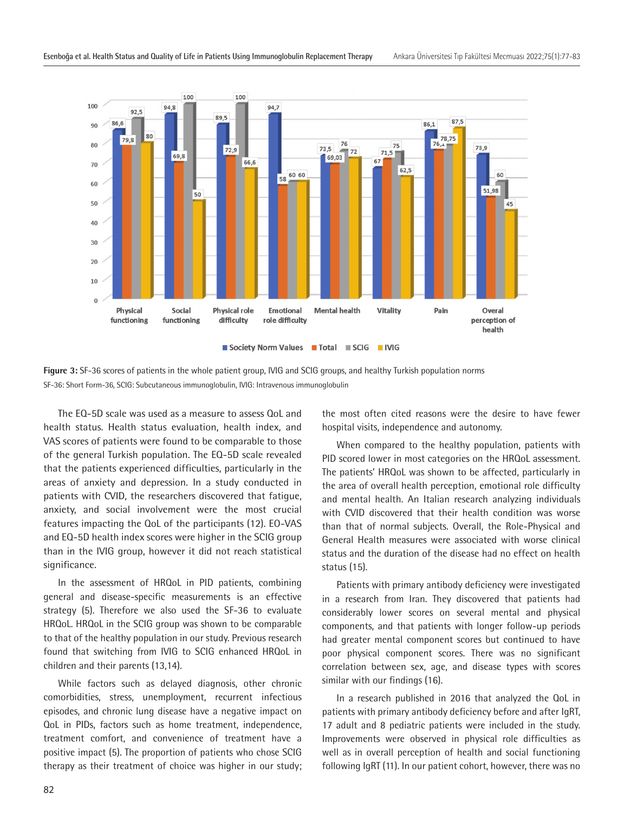

**Figure 3:** SF-36 scores of patients in the whole patient group, IVIG and SCIG groups, and healthy Turkish population norms SF-36: Short Form-36, SCIG: Subcutaneous immunoglobulin, IVIG: Intravenous immunoglobulin

The EQ-5D scale was used as a measure to assess QoL and health status. Health status evaluation, health index, and VAS scores of patients were found to be comparable to those of the general Turkish population. The EQ-5D scale revealed that the patients experienced difficulties, particularly in the areas of anxiety and depression. In a study conducted in patients with CVID, the researchers discovered that fatigue, anxiety, and social involvement were the most crucial features impacting the QoL of the participants (12). EO-VAS and EQ-5D health index scores were higher in the SCIG group than in the IVIG group, however it did not reach statistical significance.

In the assessment of HRQoL in PID patients, combining general and disease-specific measurements is an effective strategy (5). Therefore we also used the SF-36 to evaluate HRQoL. HRQoL in the SCIG group was shown to be comparable to that of the healthy population in our study. Previous research found that switching from IVIG to SCIG enhanced HRQoL in children and their parents (13,14).

While factors such as delayed diagnosis, other chronic comorbidities, stress, unemployment, recurrent infectious episodes, and chronic lung disease have a negative impact on QoL in PIDs, factors such as home treatment, independence, treatment comfort, and convenience of treatment have a positive impact (5). The proportion of patients who chose SCIG therapy as their treatment of choice was higher in our study;

the most often cited reasons were the desire to have fewer hospital visits, independence and autonomy.

When compared to the healthy population, patients with PID scored lower in most categories on the HRQoL assessment. The patients' HRQoL was shown to be affected, particularly in the area of overall health perception, emotional role difficulty and mental health. An Italian research analyzing individuals with CVID discovered that their health condition was worse than that of normal subjects. Overall, the Role-Physical and General Health measures were associated with worse clinical status and the duration of the disease had no effect on health status (15).

Patients with primary antibody deficiency were investigated in a research from Iran. They discovered that patients had considerably lower scores on several mental and physical components, and that patients with longer follow-up periods had greater mental component scores but continued to have poor physical component scores. There was no significant correlation between sex, age, and disease types with scores similar with our findings (16).

In a research published in 2016 that analyzed the QoL in patients with primary antibody deficiency before and after IgRT, 17 adult and 8 pediatric patients were included in the study. Improvements were observed in physical role difficulties as well as in overall perception of health and social functioning following IgRT (11). In our patient cohort, however, there was no